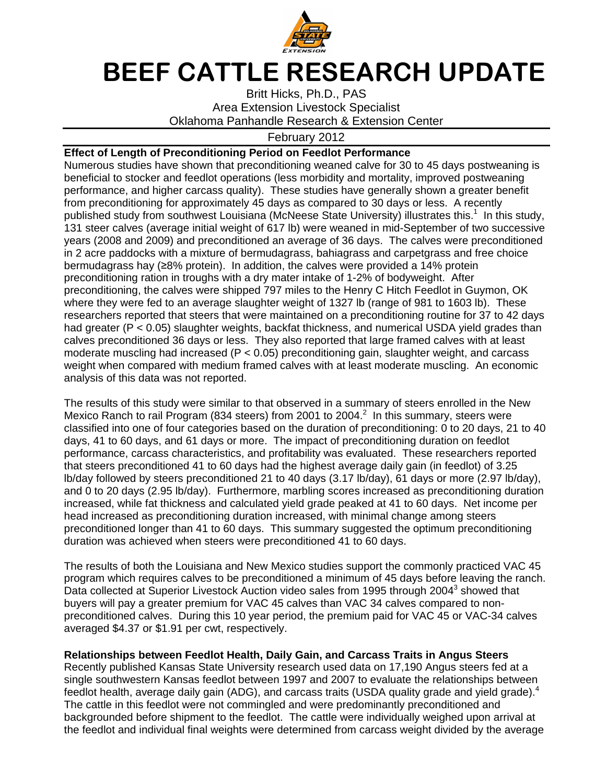

## BEEF CATTLE RESEARCH UPDATE

Britt Hicks, Ph.D., PAS Area Extension Livestock Specialist Oklahoma Panhandle Research & Extension Center

## February 2012

## **Effect of Length of Preconditioning Period on Feedlot Performance**

Numerous studies have shown that preconditioning weaned calve for 30 to 45 days postweaning is beneficial to stocker and feedlot operations (less morbidity and mortality, improved postweaning performance, and higher carcass quality). These studies have generally shown a greater benefit from preconditioning for approximately 45 days as compared to 30 days or less. A recently published study from southwest Louisiana (McNeese State University) illustrates this.<sup>1</sup> In this study, 131 steer calves (average initial weight of 617 lb) were weaned in mid-September of two successive years (2008 and 2009) and preconditioned an average of 36 days. The calves were preconditioned in 2 acre paddocks with a mixture of bermudagrass, bahiagrass and carpetgrass and free choice bermudagrass hay (≥8% protein). In addition, the calves were provided a 14% protein preconditioning ration in troughs with a dry mater intake of 1-2% of bodyweight. After preconditioning, the calves were shipped 797 miles to the Henry C Hitch Feedlot in Guymon, OK where they were fed to an average slaughter weight of 1327 lb (range of 981 to 1603 lb). These researchers reported that steers that were maintained on a preconditioning routine for 37 to 42 days had greater (P < 0.05) slaughter weights, backfat thickness, and numerical USDA yield grades than calves preconditioned 36 days or less. They also reported that large framed calves with at least moderate muscling had increased (P < 0.05) preconditioning gain, slaughter weight, and carcass weight when compared with medium framed calves with at least moderate muscling. An economic analysis of this data was not reported.

The results of this study were similar to that observed in a summary of steers enrolled in the New Mexico Ranch to rail Program (834 steers) from 2001 to 2004. $^2$  In this summary, steers were classified into one of four categories based on the duration of preconditioning: 0 to 20 days, 21 to 40 days, 41 to 60 days, and 61 days or more. The impact of preconditioning duration on feedlot performance, carcass characteristics, and profitability was evaluated. These researchers reported that steers preconditioned 41 to 60 days had the highest average daily gain (in feedlot) of 3.25 lb/day followed by steers preconditioned 21 to 40 days (3.17 lb/day), 61 days or more (2.97 lb/day), and 0 to 20 days (2.95 lb/day). Furthermore, marbling scores increased as preconditioning duration increased, while fat thickness and calculated yield grade peaked at 41 to 60 days. Net income per head increased as preconditioning duration increased, with minimal change among steers preconditioned longer than 41 to 60 days. This summary suggested the optimum preconditioning duration was achieved when steers were preconditioned 41 to 60 days.

The results of both the Louisiana and New Mexico studies support the commonly practiced VAC 45 program which requires calves to be preconditioned a minimum of 45 days before leaving the ranch. Data collected at Superior Livestock Auction video sales from 1995 through 2004<sup>3</sup> showed that buyers will pay a greater premium for VAC 45 calves than VAC 34 calves compared to nonpreconditioned calves. During this 10 year period, the premium paid for VAC 45 or VAC-34 calves averaged \$4.37 or \$1.91 per cwt, respectively.

**Relationships between Feedlot Health, Daily Gain, and Carcass Traits in Angus Steers**  Recently published Kansas State University research used data on 17,190 Angus steers fed at a single southwestern Kansas feedlot between 1997 and 2007 to evaluate the relationships between feedlot health, average daily gain (ADG), and carcass traits (USDA quality grade and yield grade).<sup>4</sup> The cattle in this feedlot were not commingled and were predominantly preconditioned and backgrounded before shipment to the feedlot. The cattle were individually weighed upon arrival at the feedlot and individual final weights were determined from carcass weight divided by the average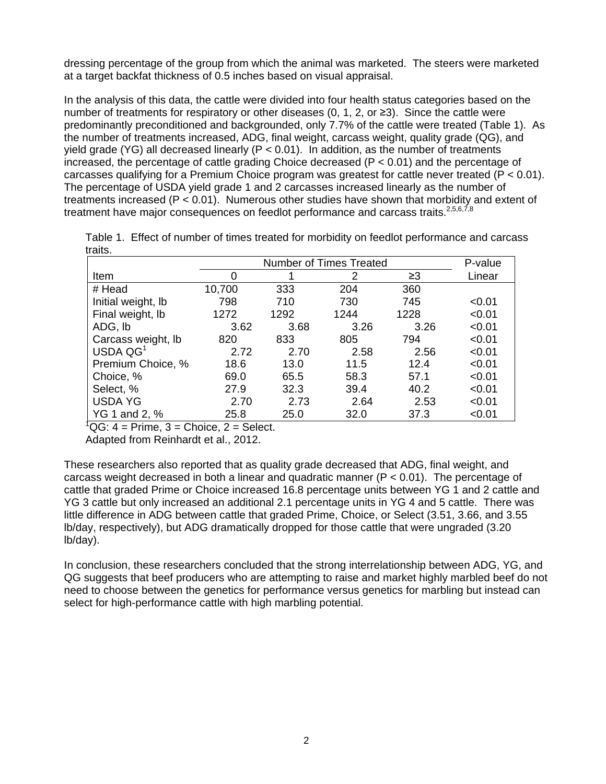dressing percentage of the group from which the animal was marketed. The steers were marketed at a target backfat thickness of 0.5 inches based on visual appraisal.

In the analysis of this data, the cattle were divided into four health status categories based on the number of treatments for respiratory or other diseases (0, 1, 2, or ≥3). Since the cattle were predominantly preconditioned and backgrounded, only 7.7% of the cattle were treated (Table 1). As the number of treatments increased, ADG, final weight, carcass weight, quality grade (QG), and yield grade (YG) all decreased linearly ( $P < 0.01$ ). In addition, as the number of treatments increased, the percentage of cattle grading Choice decreased ( $P < 0.01$ ) and the percentage of carcasses qualifying for a Premium Choice program was greatest for cattle never treated  $(P < 0.01)$ . The percentage of USDA yield grade 1 and 2 carcasses increased linearly as the number of treatments increased (P < 0.01). Numerous other studies have shown that morbidity and extent of treatment have major consequences on feedlot performance and carcass traits. $2,5,6,7,8$ 

|         | Table 1. Effect of number of times treated for morbidity on feedlot performance and carcass |  |  |  |
|---------|---------------------------------------------------------------------------------------------|--|--|--|
| traits. |                                                                                             |  |  |  |

|                      |        | P-value |      |      |        |
|----------------------|--------|---------|------|------|--------|
| Item                 | O      |         | 2    | ≥3   | Linear |
| # Head               | 10,700 | 333     | 204  | 360  |        |
| Initial weight, lb   | 798    | 710     | 730  | 745  | < 0.01 |
| Final weight, lb     | 1272   | 1292    | 1244 | 1228 | < 0.01 |
| ADG, Ib              | 3.62   | 3.68    | 3.26 | 3.26 | < 0.01 |
| Carcass weight, Ib   | 820    | 833     | 805  | 794  | < 0.01 |
| USDA QG <sup>1</sup> | 2.72   | 2.70    | 2.58 | 2.56 | < 0.01 |
| Premium Choice, %    | 18.6   | 13.0    | 11.5 | 12.4 | < 0.01 |
| Choice, %            | 69.0   | 65.5    | 58.3 | 57.1 | < 0.01 |
| Select, %            | 27.9   | 32.3    | 39.4 | 40.2 | < 0.01 |
| <b>USDA YG</b>       | 2.70   | 2.73    | 2.64 | 2.53 | < 0.01 |
| YG 1 and 2, %        | 25.8   | 25.0    | 32.0 | 37.3 | < 0.01 |

 ${}^{1}QG$ : 4 = Prime, 3 = Choice, 2 = Select.

Adapted from Reinhardt et al., 2012.

These researchers also reported that as quality grade decreased that ADG, final weight, and carcass weight decreased in both a linear and quadratic manner ( $P < 0.01$ ). The percentage of cattle that graded Prime or Choice increased 16.8 percentage units between YG 1 and 2 cattle and YG 3 cattle but only increased an additional 2.1 percentage units in YG 4 and 5 cattle. There was little difference in ADG between cattle that graded Prime, Choice, or Select (3.51, 3.66, and 3.55 lb/day, respectively), but ADG dramatically dropped for those cattle that were ungraded (3.20 lb/day).

In conclusion, these researchers concluded that the strong interrelationship between ADG, YG, and QG suggests that beef producers who are attempting to raise and market highly marbled beef do not need to choose between the genetics for performance versus genetics for marbling but instead can select for high-performance cattle with high marbling potential.